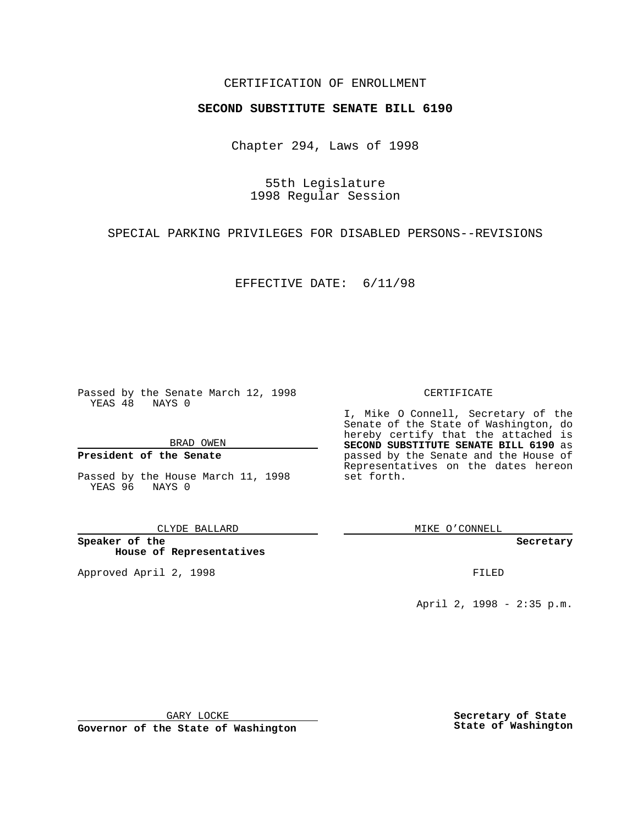### CERTIFICATION OF ENROLLMENT

# **SECOND SUBSTITUTE SENATE BILL 6190**

Chapter 294, Laws of 1998

55th Legislature 1998 Regular Session

SPECIAL PARKING PRIVILEGES FOR DISABLED PERSONS--REVISIONS

EFFECTIVE DATE: 6/11/98

Passed by the Senate March 12, 1998 YEAS 48 NAYS 0

BRAD OWEN

### **President of the Senate**

Passed by the House March 11, 1998 YEAS 96 NAYS 0

CLYDE BALLARD

**Speaker of the House of Representatives**

Approved April 2, 1998 **FILED** 

#### CERTIFICATE

I, Mike O Connell, Secretary of the Senate of the State of Washington, do hereby certify that the attached is **SECOND SUBSTITUTE SENATE BILL 6190** as passed by the Senate and the House of Representatives on the dates hereon set forth.

MIKE O'CONNELL

#### **Secretary**

April 2, 1998 - 2:35 p.m.

GARY LOCKE

**Governor of the State of Washington**

**Secretary of State State of Washington**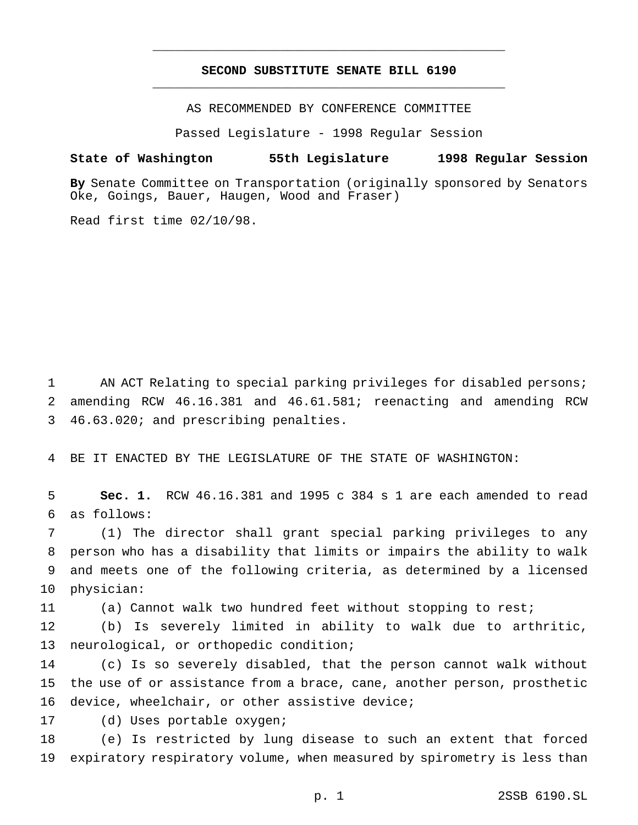## **SECOND SUBSTITUTE SENATE BILL 6190** \_\_\_\_\_\_\_\_\_\_\_\_\_\_\_\_\_\_\_\_\_\_\_\_\_\_\_\_\_\_\_\_\_\_\_\_\_\_\_\_\_\_\_\_\_\_\_

\_\_\_\_\_\_\_\_\_\_\_\_\_\_\_\_\_\_\_\_\_\_\_\_\_\_\_\_\_\_\_\_\_\_\_\_\_\_\_\_\_\_\_\_\_\_\_

AS RECOMMENDED BY CONFERENCE COMMITTEE

Passed Legislature - 1998 Regular Session

#### **State of Washington 55th Legislature 1998 Regular Session**

**By** Senate Committee on Transportation (originally sponsored by Senators Oke, Goings, Bauer, Haugen, Wood and Fraser)

Read first time 02/10/98.

 AN ACT Relating to special parking privileges for disabled persons; amending RCW 46.16.381 and 46.61.581; reenacting and amending RCW 46.63.020; and prescribing penalties.

BE IT ENACTED BY THE LEGISLATURE OF THE STATE OF WASHINGTON:

 **Sec. 1.** RCW 46.16.381 and 1995 c 384 s 1 are each amended to read as follows:

 (1) The director shall grant special parking privileges to any person who has a disability that limits or impairs the ability to walk and meets one of the following criteria, as determined by a licensed physician:

(a) Cannot walk two hundred feet without stopping to rest;

 (b) Is severely limited in ability to walk due to arthritic, neurological, or orthopedic condition;

 (c) Is so severely disabled, that the person cannot walk without the use of or assistance from a brace, cane, another person, prosthetic device, wheelchair, or other assistive device;

(d) Uses portable oxygen;

 (e) Is restricted by lung disease to such an extent that forced expiratory respiratory volume, when measured by spirometry is less than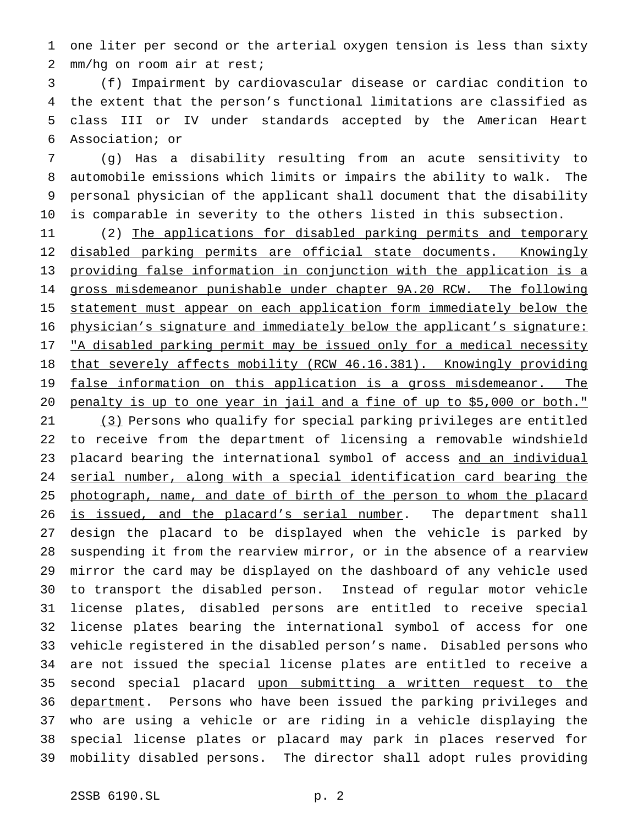one liter per second or the arterial oxygen tension is less than sixty mm/hg on room air at rest;

 (f) Impairment by cardiovascular disease or cardiac condition to the extent that the person's functional limitations are classified as class III or IV under standards accepted by the American Heart Association; or

 (g) Has a disability resulting from an acute sensitivity to automobile emissions which limits or impairs the ability to walk. The personal physician of the applicant shall document that the disability is comparable in severity to the others listed in this subsection.

 (2) The applications for disabled parking permits and temporary 12 disabled parking permits are official state documents. Knowingly providing false information in conjunction with the application is a gross misdemeanor punishable under chapter 9A.20 RCW. The following statement must appear on each application form immediately below the physician's signature and immediately below the applicant's signature: 17 "A disabled parking permit may be issued only for a medical necessity 18 that severely affects mobility (RCW 46.16.381). Knowingly providing 19 false information on this application is a gross misdemeanor. The penalty is up to one year in jail and a fine of up to \$5,000 or both." (3) Persons who qualify for special parking privileges are entitled to receive from the department of licensing a removable windshield placard bearing the international symbol of access and an individual serial number, along with a special identification card bearing the 25 photograph, name, and date of birth of the person to whom the placard 26 is issued, and the placard's serial number. The department shall design the placard to be displayed when the vehicle is parked by suspending it from the rearview mirror, or in the absence of a rearview mirror the card may be displayed on the dashboard of any vehicle used to transport the disabled person. Instead of regular motor vehicle license plates, disabled persons are entitled to receive special license plates bearing the international symbol of access for one vehicle registered in the disabled person's name. Disabled persons who are not issued the special license plates are entitled to receive a 35 second special placard upon submitting a written request to the 36 department. Persons who have been issued the parking privileges and who are using a vehicle or are riding in a vehicle displaying the special license plates or placard may park in places reserved for mobility disabled persons. The director shall adopt rules providing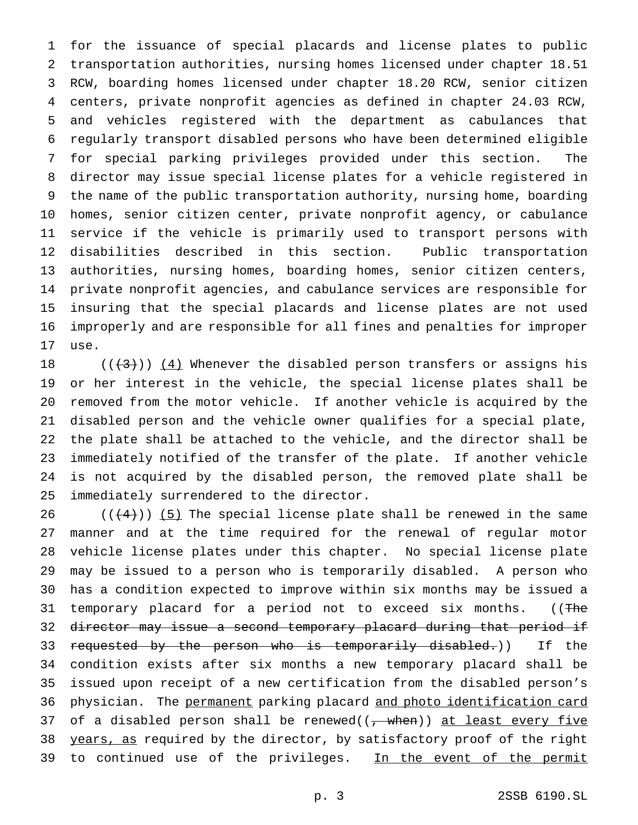for the issuance of special placards and license plates to public transportation authorities, nursing homes licensed under chapter 18.51 RCW, boarding homes licensed under chapter 18.20 RCW, senior citizen centers, private nonprofit agencies as defined in chapter 24.03 RCW, and vehicles registered with the department as cabulances that regularly transport disabled persons who have been determined eligible for special parking privileges provided under this section. The director may issue special license plates for a vehicle registered in the name of the public transportation authority, nursing home, boarding homes, senior citizen center, private nonprofit agency, or cabulance service if the vehicle is primarily used to transport persons with disabilities described in this section. Public transportation authorities, nursing homes, boarding homes, senior citizen centers, private nonprofit agencies, and cabulance services are responsible for insuring that the special placards and license plates are not used improperly and are responsible for all fines and penalties for improper use.

 $((+3))$   $(4)$  Whenever the disabled person transfers or assigns his or her interest in the vehicle, the special license plates shall be removed from the motor vehicle. If another vehicle is acquired by the disabled person and the vehicle owner qualifies for a special plate, the plate shall be attached to the vehicle, and the director shall be immediately notified of the transfer of the plate. If another vehicle is not acquired by the disabled person, the removed plate shall be immediately surrendered to the director.

 $((+4))$  (5) The special license plate shall be renewed in the same manner and at the time required for the renewal of regular motor vehicle license plates under this chapter. No special license plate may be issued to a person who is temporarily disabled. A person who has a condition expected to improve within six months may be issued a 31 temporary placard for a period not to exceed six months. ((The 32 director may issue a second temporary placard during that period if 33 requested by the person who is temporarily disabled.)) If the condition exists after six months a new temporary placard shall be issued upon receipt of a new certification from the disabled person's 36 physician. The permanent parking placard and photo identification card 37 of a disabled person shall be renewed( $(\frac{1}{f} - w$ hen)) at least every five 38 years, as required by the director, by satisfactory proof of the right 39 to continued use of the privileges. In the event of the permit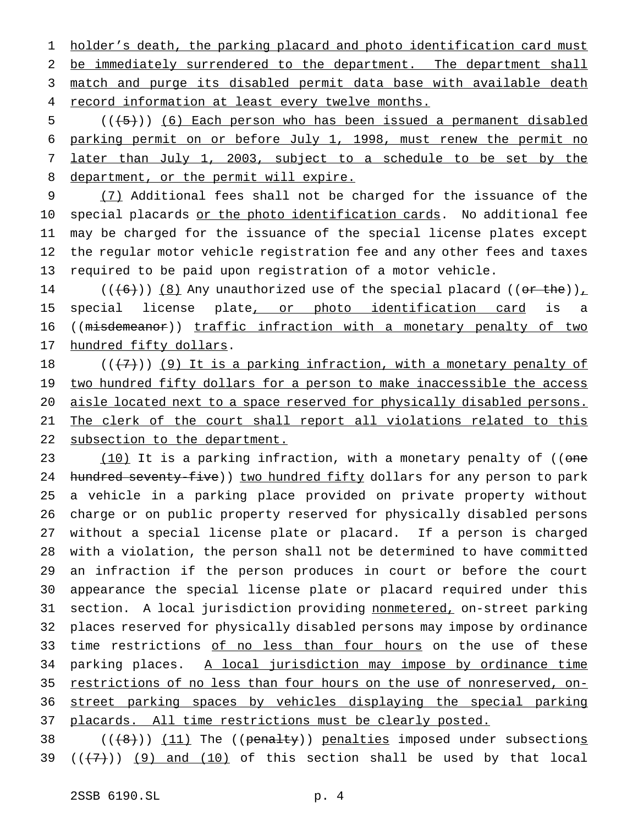1 holder's death, the parking placard and photo identification card must 2 be immediately surrendered to the department. The department shall 3 match and purge its disabled permit data base with available death 4 record information at least every twelve months.

 ( $(\overline{5})$ ) (6) Each person who has been issued a permanent disabled parking permit on or before July 1, 1998, must renew the permit no later than July 1, 2003, subject to a schedule to be set by the 8 department, or the permit will expire.

 (7) Additional fees shall not be charged for the issuance of the 10 special placards or the photo identification cards. No additional fee may be charged for the issuance of the special license plates except the regular motor vehicle registration fee and any other fees and taxes required to be paid upon registration of a motor vehicle.

14 ( $(\overline{6})$ )  $(8)$  Any unauthorized use of the special placard ((or the)), 15 special license plate, or photo identification card is a 16 ((misdemeanor)) traffic infraction with a monetary penalty of two 17 hundred fifty dollars.

18  $((+7))$  (9) It is a parking infraction, with a monetary penalty of 19 two hundred fifty dollars for a person to make inaccessible the access 20 aisle located next to a space reserved for physically disabled persons. 21 The clerk of the court shall report all violations related to this 22 subsection to the department.

23 (10) It is a parking infraction, with a monetary penalty of ((one 24 hundred seventy-five)) two hundred fifty dollars for any person to park a vehicle in a parking place provided on private property without charge or on public property reserved for physically disabled persons without a special license plate or placard. If a person is charged with a violation, the person shall not be determined to have committed an infraction if the person produces in court or before the court appearance the special license plate or placard required under this section. A local jurisdiction providing nonmetered, on-street parking places reserved for physically disabled persons may impose by ordinance 33 time restrictions of no less than four hours on the use of these 34 parking places. A local jurisdiction may impose by ordinance time restrictions of no less than four hours on the use of nonreserved, on- street parking spaces by vehicles displaying the special parking 37 placards. All time restrictions must be clearly posted.

38  $((+8))$   $(11)$  The ((penalty)) penalties imposed under subsections 39  $((+7))$  (9) and (10) of this section shall be used by that local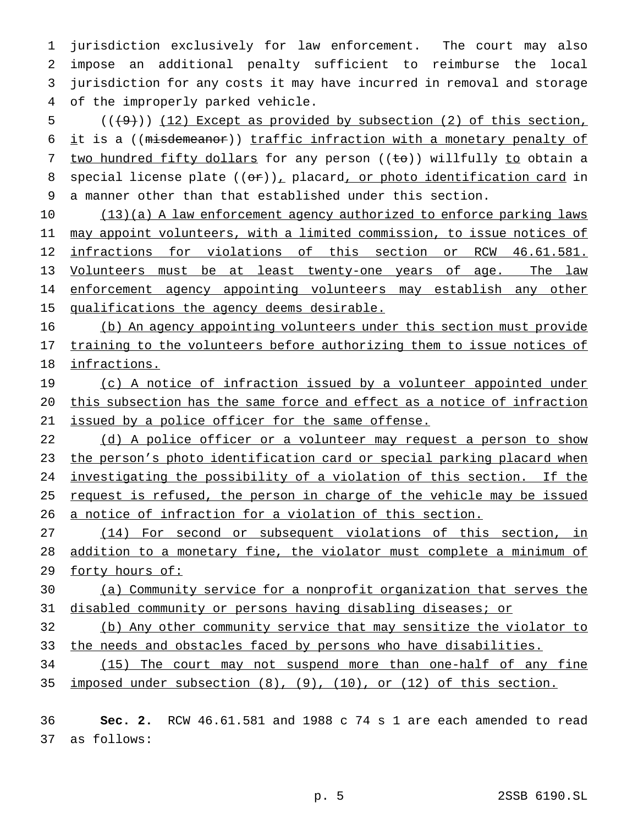jurisdiction exclusively for law enforcement. The court may also impose an additional penalty sufficient to reimburse the local jurisdiction for any costs it may have incurred in removal and storage of the improperly parked vehicle.

 ( $(\frac{49}{12})$  (12) Except as provided by subsection (2) of this section, it is a ((misdemeanor)) traffic infraction with a monetary penalty of 7 two hundred fifty dollars for any person ((to)) willfully to obtain a 8 special license plate  $((\theta \cdot r))_T$  placard, or photo identification card in a manner other than that established under this section.

 (13)(a) A law enforcement agency authorized to enforce parking laws 11 may appoint volunteers, with a limited commission, to issue notices of infractions for violations of this section or RCW 46.61.581. Volunteers must be at least twenty-one years of age. The law 14 enforcement agency appointing volunteers may establish any other 15 qualifications the agency deems desirable.

 (b) An agency appointing volunteers under this section must provide 17 training to the volunteers before authorizing them to issue notices of infractions.

19 (c) A notice of infraction issued by a volunteer appointed under this subsection has the same force and effect as a notice of infraction issued by a police officer for the same offense.

22 (d) A police officer or a volunteer may request a person to show the person's photo identification card or special parking placard when investigating the possibility of a violation of this section. If the 25 request is refused, the person in charge of the vehicle may be issued a notice of infraction for a violation of this section.

 (14) For second or subsequent violations of this section, in addition to a monetary fine, the violator must complete a minimum of 29 forty hours of:

 (a) Community service for a nonprofit organization that serves the disabled community or persons having disabling diseases; or

 (b) Any other community service that may sensitize the violator to 33 the needs and obstacles faced by persons who have disabilities.

 (15) The court may not suspend more than one-half of any fine imposed under subsection (8), (9), (10), or (12) of this section.

 **Sec. 2.** RCW 46.61.581 and 1988 c 74 s 1 are each amended to read as follows: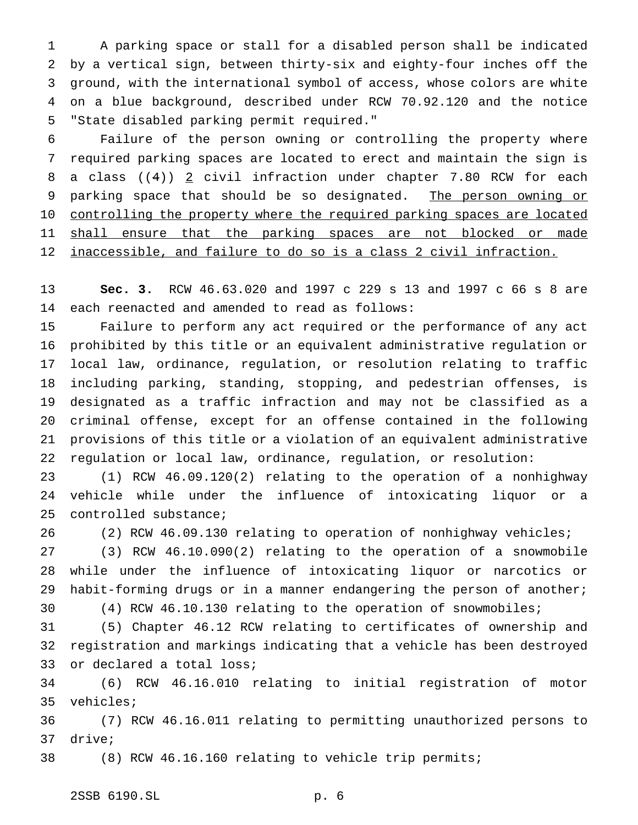A parking space or stall for a disabled person shall be indicated by a vertical sign, between thirty-six and eighty-four inches off the ground, with the international symbol of access, whose colors are white on a blue background, described under RCW 70.92.120 and the notice "State disabled parking permit required."

 Failure of the person owning or controlling the property where required parking spaces are located to erect and maintain the sign is 8 a class  $((4))$  2 civil infraction under chapter 7.80 RCW for each 9 parking space that should be so designated. The person owning or 10 controlling the property where the required parking spaces are located 11 shall ensure that the parking spaces are not blocked or made 12 inaccessible, and failure to do so is a class 2 civil infraction.

 **Sec. 3.** RCW 46.63.020 and 1997 c 229 s 13 and 1997 c 66 s 8 are each reenacted and amended to read as follows:

 Failure to perform any act required or the performance of any act prohibited by this title or an equivalent administrative regulation or local law, ordinance, regulation, or resolution relating to traffic including parking, standing, stopping, and pedestrian offenses, is designated as a traffic infraction and may not be classified as a criminal offense, except for an offense contained in the following provisions of this title or a violation of an equivalent administrative regulation or local law, ordinance, regulation, or resolution:

 (1) RCW 46.09.120(2) relating to the operation of a nonhighway vehicle while under the influence of intoxicating liquor or a controlled substance;

(2) RCW 46.09.130 relating to operation of nonhighway vehicles;

 (3) RCW 46.10.090(2) relating to the operation of a snowmobile while under the influence of intoxicating liquor or narcotics or habit-forming drugs or in a manner endangering the person of another; (4) RCW 46.10.130 relating to the operation of snowmobiles;

(5) Chapter 46.12 RCW relating to certificates of ownership and

 registration and markings indicating that a vehicle has been destroyed or declared a total loss;

 (6) RCW 46.16.010 relating to initial registration of motor vehicles;

 (7) RCW 46.16.011 relating to permitting unauthorized persons to drive;

(8) RCW 46.16.160 relating to vehicle trip permits;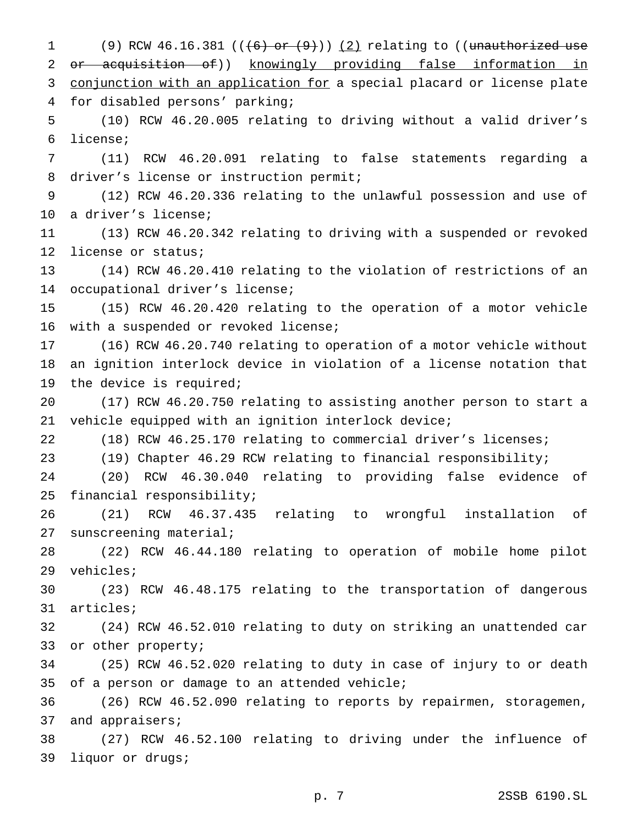1 (9) RCW 46.16.381  $((+6)$  or  $(9)$ )  $(2)$  relating to ((unauthorized use or acquisition of)) knowingly providing false information in 3 conjunction with an application for a special placard or license plate for disabled persons' parking; (10) RCW 46.20.005 relating to driving without a valid driver's license; (11) RCW 46.20.091 relating to false statements regarding a driver's license or instruction permit; (12) RCW 46.20.336 relating to the unlawful possession and use of a driver's license; (13) RCW 46.20.342 relating to driving with a suspended or revoked license or status; (14) RCW 46.20.410 relating to the violation of restrictions of an occupational driver's license; (15) RCW 46.20.420 relating to the operation of a motor vehicle with a suspended or revoked license; (16) RCW 46.20.740 relating to operation of a motor vehicle without an ignition interlock device in violation of a license notation that the device is required; (17) RCW 46.20.750 relating to assisting another person to start a vehicle equipped with an ignition interlock device; (18) RCW 46.25.170 relating to commercial driver's licenses; (19) Chapter 46.29 RCW relating to financial responsibility; (20) RCW 46.30.040 relating to providing false evidence of financial responsibility; (21) RCW 46.37.435 relating to wrongful installation of sunscreening material; (22) RCW 46.44.180 relating to operation of mobile home pilot vehicles; (23) RCW 46.48.175 relating to the transportation of dangerous articles; (24) RCW 46.52.010 relating to duty on striking an unattended car or other property; (25) RCW 46.52.020 relating to duty in case of injury to or death of a person or damage to an attended vehicle; (26) RCW 46.52.090 relating to reports by repairmen, storagemen, 37 and appraisers; (27) RCW 46.52.100 relating to driving under the influence of liquor or drugs;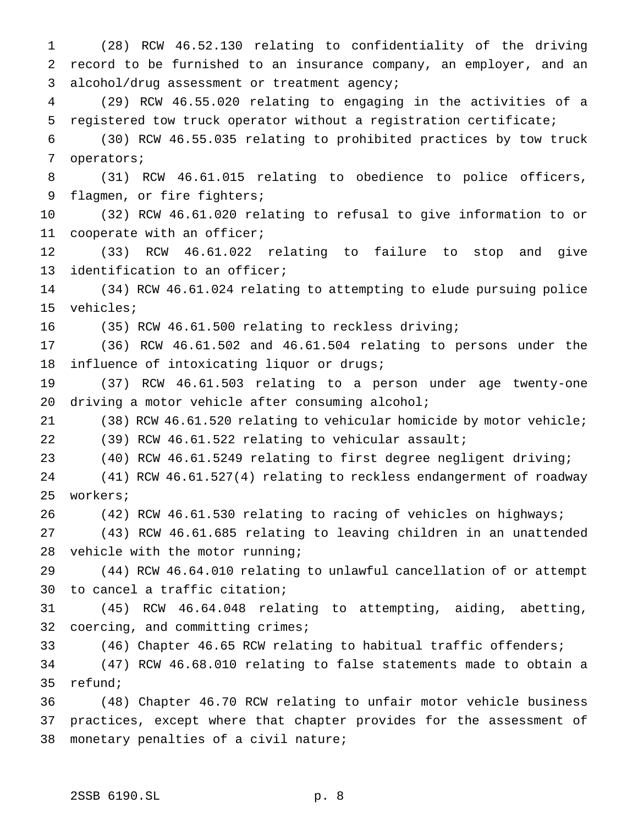(28) RCW 46.52.130 relating to confidentiality of the driving record to be furnished to an insurance company, an employer, and an alcohol/drug assessment or treatment agency; (29) RCW 46.55.020 relating to engaging in the activities of a registered tow truck operator without a registration certificate; (30) RCW 46.55.035 relating to prohibited practices by tow truck operators; (31) RCW 46.61.015 relating to obedience to police officers, 9 flagmen, or fire fighters; (32) RCW 46.61.020 relating to refusal to give information to or cooperate with an officer; (33) RCW 46.61.022 relating to failure to stop and give identification to an officer; (34) RCW 46.61.024 relating to attempting to elude pursuing police vehicles; (35) RCW 46.61.500 relating to reckless driving; (36) RCW 46.61.502 and 46.61.504 relating to persons under the influence of intoxicating liquor or drugs; (37) RCW 46.61.503 relating to a person under age twenty-one 20 driving a motor vehicle after consuming alcohol; (38) RCW 46.61.520 relating to vehicular homicide by motor vehicle; (39) RCW 46.61.522 relating to vehicular assault; (40) RCW 46.61.5249 relating to first degree negligent driving; (41) RCW 46.61.527(4) relating to reckless endangerment of roadway workers; (42) RCW 46.61.530 relating to racing of vehicles on highways; (43) RCW 46.61.685 relating to leaving children in an unattended 28 vehicle with the motor running; (44) RCW 46.64.010 relating to unlawful cancellation of or attempt to cancel a traffic citation; (45) RCW 46.64.048 relating to attempting, aiding, abetting, coercing, and committing crimes; (46) Chapter 46.65 RCW relating to habitual traffic offenders; (47) RCW 46.68.010 relating to false statements made to obtain a refund; (48) Chapter 46.70 RCW relating to unfair motor vehicle business practices, except where that chapter provides for the assessment of monetary penalties of a civil nature;